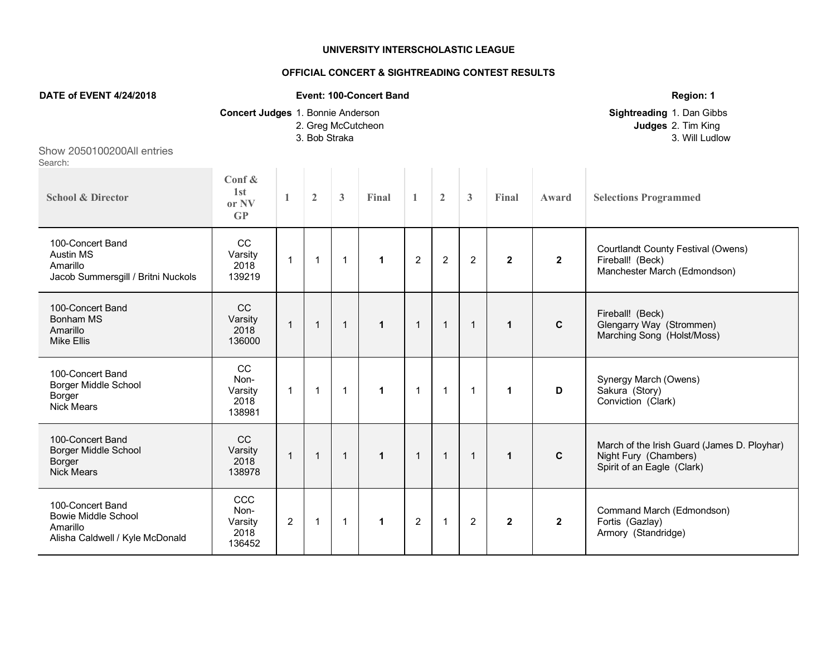## **UNIVERSITY INTERSCHOLASTIC LEAGUE**

## **OFFICIAL CONCERT & SIGHTREADING CONTEST RESULTS**

| DATE of EVENT 4/24/2018                                                                       |                                                     |                |                |                    | <b>Event: 100-Concert Band</b> |                | Region: 1      |                                                                   |              |              |                                                                                                    |
|-----------------------------------------------------------------------------------------------|-----------------------------------------------------|----------------|----------------|--------------------|--------------------------------|----------------|----------------|-------------------------------------------------------------------|--------------|--------------|----------------------------------------------------------------------------------------------------|
|                                                                                               | Concert Judges 1. Bonnie Anderson                   |                | 3. Bob Straka  | 2. Greg McCutcheon |                                |                |                | Sightreading 1. Dan Gibbs<br>Judges 2. Tim King<br>3. Will Ludlow |              |              |                                                                                                    |
| Show 2050100200All entries<br>Search:                                                         |                                                     |                |                |                    |                                |                |                |                                                                   |              |              |                                                                                                    |
| <b>School &amp; Director</b>                                                                  | Conf $\&$<br>1st<br>or NV<br>$\mathbf{G}\mathbf{P}$ | $\mathbf{1}$   | $\overline{2}$ | $\mathbf{3}$       | Final                          | $\mathbf{1}$   | $\overline{2}$ | $\mathbf{3}$                                                      | Final        | Award        | <b>Selections Programmed</b>                                                                       |
| 100-Concert Band<br><b>Austin MS</b><br>Amarillo<br>Jacob Summersgill / Britni Nuckols        | CC<br>Varsity<br>2018<br>139219                     | $\mathbf{1}$   | $\mathbf 1$    | $\mathbf{1}$       | 1                              | $\overline{2}$ | $\overline{c}$ | $\overline{c}$                                                    | $\mathbf{2}$ | $\mathbf{2}$ | <b>Courtlandt County Festival (Owens)</b><br>Fireball! (Beck)<br>Manchester March (Edmondson)      |
| 100-Concert Band<br><b>Bonham MS</b><br>Amarillo<br><b>Mike Ellis</b>                         | CC<br>Varsity<br>2018<br>136000                     | $\mathbf{1}$   | $\mathbf{1}$   | $\mathbf{1}$       | $\mathbf{1}$                   | $\mathbf{1}$   | $\mathbf{1}$   | $\mathbf 1$                                                       | $\mathbf{1}$ | $\mathbf{C}$ | Fireball! (Beck)<br>Glengarry Way (Strommen)<br>Marching Song (Holst/Moss)                         |
| 100-Concert Band<br><b>Borger Middle School</b><br>Borger<br><b>Nick Mears</b>                | cc<br>Non-<br>Varsity<br>2018<br>138981             | $\mathbf{1}$   | $\mathbf 1$    | $\mathbf{1}$       | $\mathbf 1$                    | $\mathbf 1$    | $\mathbf{1}$   | 1                                                                 | $\mathbf{1}$ | D            | Synergy March (Owens)<br>Sakura (Story)<br>Conviction (Clark)                                      |
| 100-Concert Band<br><b>Borger Middle School</b><br>Borger<br><b>Nick Mears</b>                | CC<br>Varsity<br>2018<br>138978                     | $\mathbf{1}$   | $\mathbf{1}$   | $\mathbf{1}$       | $\mathbf{1}$                   | $\mathbf{1}$   | $\mathbf{1}$   | $\mathbf 1$                                                       | $\mathbf{1}$ | $\mathbf c$  | March of the Irish Guard (James D. Ployhar)<br>Night Fury (Chambers)<br>Spirit of an Eagle (Clark) |
| 100-Concert Band<br><b>Bowie Middle School</b><br>Amarillo<br>Alisha Caldwell / Kyle McDonald | CCC<br>Non-<br>Varsity<br>2018<br>136452            | $\overline{2}$ | 1              | $\mathbf{1}$       | 1                              | $\overline{2}$ | $\mathbf{1}$   | $\overline{2}$                                                    | $\mathbf{2}$ | $\mathbf{2}$ | Command March (Edmondson)<br>Fortis (Gazlay)<br>Armory (Standridge)                                |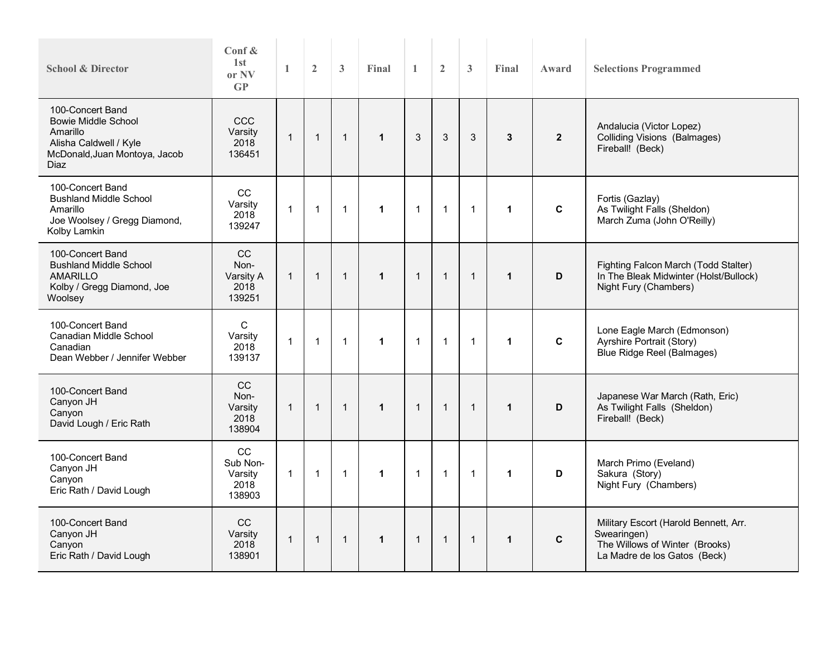| <b>School &amp; Director</b>                                                                                                         | Conf $\&$<br>1 <sub>st</sub><br>or NV<br>GP | 1              | $\overline{2}$ | 3            | Final        | $\mathbf{1}$ | $\overline{2}$ | 3              | Final        | Award          | <b>Selections Programmed</b>                                                                                           |
|--------------------------------------------------------------------------------------------------------------------------------------|---------------------------------------------|----------------|----------------|--------------|--------------|--------------|----------------|----------------|--------------|----------------|------------------------------------------------------------------------------------------------------------------------|
| 100-Concert Band<br><b>Bowie Middle School</b><br>Amarillo<br>Alisha Caldwell / Kyle<br>McDonald, Juan Montoya, Jacob<br><b>Diaz</b> | <b>CCC</b><br>Varsity<br>2018<br>136451     | $\mathbf{1}$   | $\mathbf{1}$   | $\mathbf{1}$ | $\mathbf{1}$ | 3            | $\sqrt{3}$     | 3              | $\mathbf{3}$ | $\overline{2}$ | Andalucia (Victor Lopez)<br><b>Colliding Visions (Balmages)</b><br>Fireball! (Beck)                                    |
| 100-Concert Band<br><b>Bushland Middle School</b><br>Amarillo<br>Joe Woolsey / Gregg Diamond,<br>Kolby Lamkin                        | CC<br>Varsity<br>2018<br>139247             | $\overline{1}$ | $\mathbf{1}$   | $\mathbf{1}$ | $\mathbf{1}$ | $\mathbf{1}$ | $\mathbf{1}$   | $\overline{1}$ | $\mathbf{1}$ | C              | Fortis (Gazlay)<br>As Twilight Falls (Sheldon)<br>March Zuma (John O'Reilly)                                           |
| 100-Concert Band<br><b>Bushland Middle School</b><br><b>AMARILLO</b><br>Kolby / Gregg Diamond, Joe<br>Woolsey                        | CC<br>Non-<br>Varsity A<br>2018<br>139251   | $\mathbf{1}$   | $\overline{1}$ | $\mathbf{1}$ | $\mathbf{1}$ | $\mathbf{1}$ | $\mathbf 1$    | $\mathbf{1}$   | $\mathbf{1}$ | D              | Fighting Falcon March (Todd Stalter)<br>In The Bleak Midwinter (Holst/Bullock)<br>Night Fury (Chambers)                |
| 100-Concert Band<br>Canadian Middle School<br>Canadian<br>Dean Webber / Jennifer Webber                                              | C<br>Varsity<br>2018<br>139137              | $\overline{1}$ | $\overline{1}$ | $\mathbf{1}$ | $\mathbf 1$  | $\mathbf{1}$ | $\mathbf{1}$   | $\overline{1}$ | $\mathbf{1}$ | C              | Lone Eagle March (Edmonson)<br>Ayrshire Portrait (Story)<br>Blue Ridge Reel (Balmages)                                 |
| 100-Concert Band<br>Canyon JH<br>Canyon<br>David Lough / Eric Rath                                                                   | CC<br>Non-<br>Varsity<br>2018<br>138904     | $\mathbf{1}$   | $\mathbf{1}$   | $\mathbf{1}$ | $\mathbf{1}$ | $\mathbf{1}$ | $\mathbf{1}$   | $\overline{1}$ | $\mathbf{1}$ | D              | Japanese War March (Rath, Eric)<br>As Twilight Falls (Sheldon)<br>Fireball! (Beck)                                     |
| 100-Concert Band<br>Canyon JH<br>Canyon<br>Eric Rath / David Lough                                                                   | cc<br>Sub Non-<br>Varsity<br>2018<br>138903 | $\mathbf{1}$   | $\mathbf{1}$   | $\mathbf{1}$ | $\mathbf 1$  | $\mathbf{1}$ | $\mathbf{1}$   | $\overline{1}$ | $\mathbf{1}$ | D              | March Primo (Eveland)<br>Sakura (Story)<br>Night Fury (Chambers)                                                       |
| 100-Concert Band<br>Canyon JH<br>Canvon<br>Eric Rath / David Lough                                                                   | CC<br>Varsity<br>2018<br>138901             | $\overline{1}$ | $\overline{1}$ | $\mathbf{1}$ | $\mathbf{1}$ | $\mathbf{1}$ | $\mathbf{1}$   | $\mathbf{1}$   | $\mathbf{1}$ | $\mathbf c$    | Military Escort (Harold Bennett, Arr.<br>Swearingen)<br>The Willows of Winter (Brooks)<br>La Madre de los Gatos (Beck) |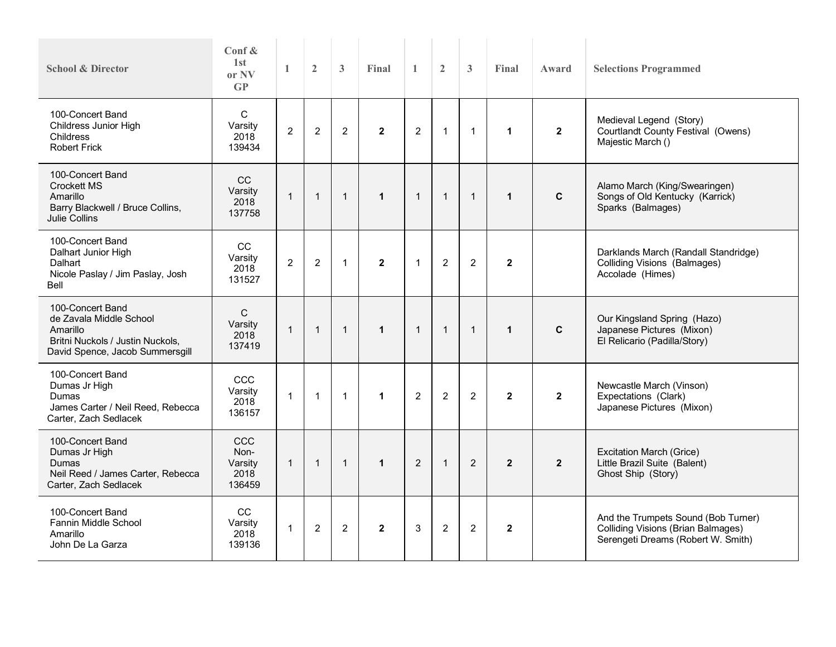| <b>School &amp; Director</b>                                                                                                   | Conf &<br>1st<br>or NV<br>$\mathbf{G}\mathbf{P}$ | $\mathbf{1}$   | $\overline{2}$ | $\mathbf{3}$   | Final          | $\mathbf{1}$   | $\overline{2}$ | $\mathbf{3}$   | Final          | Award        | <b>Selections Programmed</b>                                                                                           |
|--------------------------------------------------------------------------------------------------------------------------------|--------------------------------------------------|----------------|----------------|----------------|----------------|----------------|----------------|----------------|----------------|--------------|------------------------------------------------------------------------------------------------------------------------|
| 100-Concert Band<br>Childress Junior High<br><b>Childress</b><br><b>Robert Frick</b>                                           | $\mathsf{C}$<br>Varsity<br>2018<br>139434        | $\overline{2}$ | $\overline{c}$ | $\overline{2}$ | $\overline{2}$ | $\overline{2}$ | $\mathbf{1}$   | $\mathbf{1}$   | $\mathbf{1}$   | $\mathbf{2}$ | Medieval Legend (Story)<br>Courtlandt County Festival (Owens)<br>Majestic March ()                                     |
| 100-Concert Band<br>Crockett MS<br>Amarillo<br>Barry Blackwell / Bruce Collins,<br>Julie Collins                               | CC<br>Varsity<br>2018<br>137758                  | $\mathbf{1}$   | $\mathbf{1}$   | $\overline{1}$ | $\mathbf{1}$   | $\mathbf{1}$   | $\mathbf{1}$   | $\mathbf{1}$   | $\mathbf{1}$   | $\mathbf{C}$ | Alamo March (King/Swearingen)<br>Songs of Old Kentucky (Karrick)<br>Sparks (Balmages)                                  |
| 100-Concert Band<br>Dalhart Junior High<br>Dalhart<br>Nicole Paslay / Jim Paslay, Josh<br>Bell                                 | CC<br>Varsity<br>2018<br>131527                  | $\overline{2}$ | $\overline{2}$ | $\mathbf{1}$   | $\overline{2}$ | $\mathbf{1}$   | $\overline{2}$ | $\overline{2}$ | $\mathbf{2}$   |              | Darklands March (Randall Standridge)<br>Colliding Visions (Balmages)<br>Accolade (Himes)                               |
| 100-Concert Band<br>de Zavala Middle School<br>Amarillo<br>Britni Nuckols / Justin Nuckols,<br>David Spence, Jacob Summersgill | $\mathsf C$<br>Varsity<br>2018<br>137419         | $\mathbf{1}$   | $\mathbf{1}$   | $\mathbf{1}$   | $\mathbf{1}$   | $\overline{1}$ | $\mathbf{1}$   | $\mathbf{1}$   | $\mathbf{1}$   | C            | Our Kingsland Spring (Hazo)<br>Japanese Pictures (Mixon)<br>El Relicario (Padilla/Story)                               |
| 100-Concert Band<br>Dumas Jr High<br>Dumas<br>James Carter / Neil Reed, Rebecca<br>Carter, Zach Sedlacek                       | CCC<br>Varsity<br>2018<br>136157                 | $\mathbf{1}$   | $\mathbf{1}$   | $\mathbf{1}$   | $\mathbf{1}$   | $\overline{2}$ | $\overline{2}$ | $\overline{2}$ | $\mathbf{2}$   | $\mathbf{2}$ | Newcastle March (Vinson)<br>Expectations (Clark)<br>Japanese Pictures (Mixon)                                          |
| 100-Concert Band<br>Dumas Jr High<br>Dumas<br>Neil Reed / James Carter, Rebecca<br>Carter, Zach Sedlacek                       | CCC<br>Non-<br>Varsity<br>2018<br>136459         | $\mathbf{1}$   | $\mathbf{1}$   | $\mathbf{1}$   | $\mathbf{1}$   | $\overline{2}$ | $\mathbf{1}$   | $\overline{2}$ | $\overline{2}$ | $\mathbf{2}$ | Excitation March (Grice)<br>Little Brazil Suite (Balent)<br>Ghost Ship (Story)                                         |
| 100-Concert Band<br>Fannin Middle School<br>Amarillo<br>John De La Garza                                                       | CC<br>Varsity<br>2018<br>139136                  | $\mathbf 1$    | $\overline{2}$ | $\overline{2}$ | $\overline{2}$ | 3              | $\overline{2}$ | 2              | $\mathbf{2}$   |              | And the Trumpets Sound (Bob Turner)<br><b>Colliding Visions (Brian Balmages)</b><br>Serengeti Dreams (Robert W. Smith) |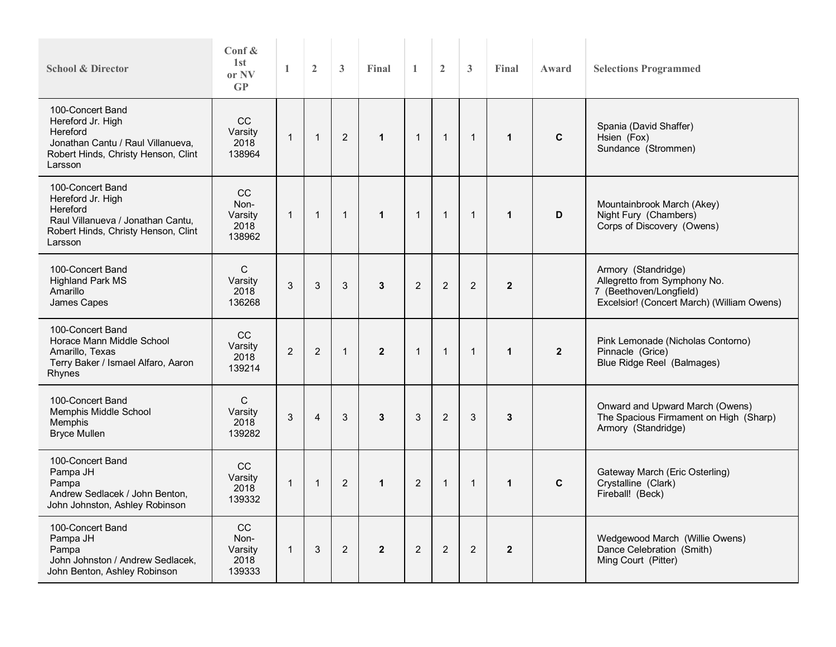| <b>School &amp; Director</b>                                                                                                             | Conf $\&$<br>1 <sub>st</sub><br>or NV<br>$\mathbf{G}\mathbf{P}$ | 1              | $\overline{2}$ | 3              | Final        | $\mathbf{1}$   | $\overline{2}$ | 3              | Final          | Award        | <b>Selections Programmed</b>                                                                                                 |
|------------------------------------------------------------------------------------------------------------------------------------------|-----------------------------------------------------------------|----------------|----------------|----------------|--------------|----------------|----------------|----------------|----------------|--------------|------------------------------------------------------------------------------------------------------------------------------|
| 100-Concert Band<br>Hereford Jr. High<br>Hereford<br>Jonathan Cantu / Raul Villanueva,<br>Robert Hinds, Christy Henson, Clint<br>Larsson | CC<br>Varsity<br>2018<br>138964                                 | $\mathbf{1}$   | $\mathbf 1$    | $\overline{2}$ | $\mathbf{1}$ | $\overline{1}$ | $\mathbf{1}$   | $\overline{1}$ | $\mathbf{1}$   | $\mathbf{C}$ | Spania (David Shaffer)<br>Hsien (Fox)<br>Sundance (Strommen)                                                                 |
| 100-Concert Band<br>Hereford Jr. High<br>Hereford<br>Raul Villanueva / Jonathan Cantu,<br>Robert Hinds, Christy Henson, Clint<br>Larsson | <b>CC</b><br>Non-<br>Varsity<br>2018<br>138962                  | $\mathbf{1}$   | $\mathbf{1}$   | $\mathbf{1}$   | $\mathbf{1}$ | $\mathbf{1}$   | $\mathbf{1}$   | $\overline{1}$ | $\mathbf{1}$   | D            | Mountainbrook March (Akey)<br>Night Fury (Chambers)<br>Corps of Discovery (Owens)                                            |
| 100-Concert Band<br><b>Highland Park MS</b><br>Amarillo<br>James Capes                                                                   | $\mathsf C$<br>Varsity<br>2018<br>136268                        | 3              | 3              | 3              | 3            | $\overline{2}$ | 2              | 2              | $\overline{2}$ |              | Armory (Standridge)<br>Allegretto from Symphony No.<br>7 (Beethoven/Longfield)<br>Excelsior! (Concert March) (William Owens) |
| 100-Concert Band<br>Horace Mann Middle School<br>Amarillo, Texas<br>Terry Baker / Ismael Alfaro, Aaron<br>Rhynes                         | CC<br>Varsity<br>2018<br>139214                                 | $\overline{2}$ | $\overline{2}$ | $\mathbf{1}$   | $\mathbf{2}$ | $\mathbf{1}$   | $\mathbf{1}$   | $\mathbf{1}$   | $\mathbf{1}$   | $\mathbf{2}$ | Pink Lemonade (Nicholas Contorno)<br>Pinnacle (Grice)<br>Blue Ridge Reel (Balmages)                                          |
| 100-Concert Band<br>Memphis Middle School<br>Memphis<br><b>Bryce Mullen</b>                                                              | C<br>Varsity<br>2018<br>139282                                  | 3              | $\overline{4}$ | 3              | 3            | 3              | $\overline{2}$ | 3              | 3              |              | Onward and Upward March (Owens)<br>The Spacious Firmament on High (Sharp)<br>Armory (Standridge)                             |
| 100-Concert Band<br>Pampa JH<br>Pampa<br>Andrew Sedlacek / John Benton,<br>John Johnston, Ashley Robinson                                | CC<br>Varsity<br>2018<br>139332                                 | $\mathbf{1}$   | $\overline{1}$ | $\overline{2}$ | $\mathbf{1}$ | 2              | $\mathbf{1}$   | $\mathbf{1}$   | 1              | $\mathbf{C}$ | Gateway March (Eric Osterling)<br>Crystalline (Clark)<br>Fireball! (Beck)                                                    |
| 100-Concert Band<br>Pampa JH<br>Pampa<br>John Johnston / Andrew Sedlacek,<br>John Benton, Ashley Robinson                                | CC<br>Non-<br>Varsity<br>2018<br>139333                         | $\mathbf{1}$   | 3              | $\overline{2}$ | $\mathbf{2}$ | $\overline{2}$ | $\overline{2}$ | $\overline{2}$ | $\overline{2}$ |              | Wedgewood March (Willie Owens)<br>Dance Celebration (Smith)<br>Ming Court (Pitter)                                           |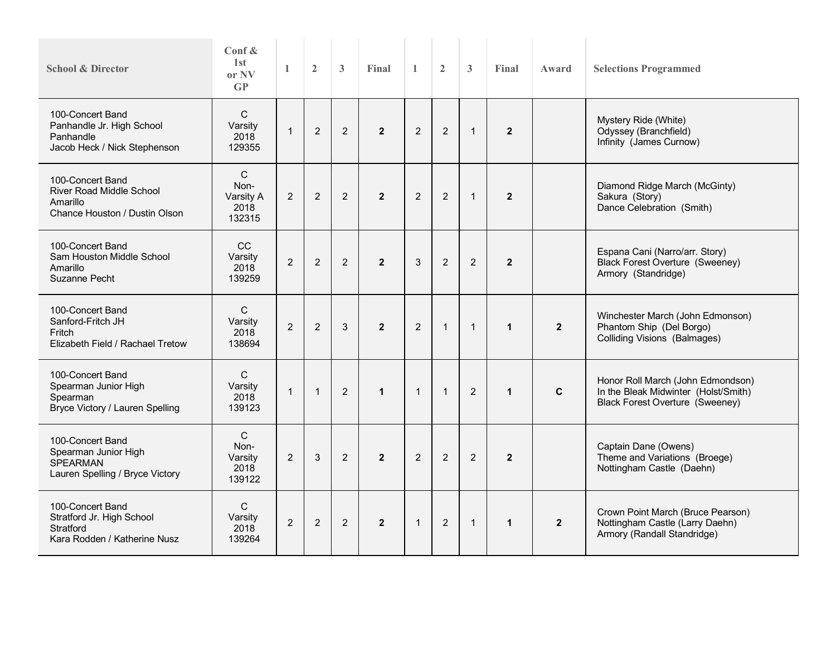| <b>School &amp; Director</b>                                                                     | Conf $\&$<br>1st<br>or NV<br>$\mathbf{G}\mathbf{P}$ | $\mathbf{1}$   | $\overline{2}$ | $\mathbf{3}$   | Final          | $\mathbf{1}$   | $\overline{2}$ | $\mathbf{3}$   | Final          | Award          | <b>Selections Programmed</b>                                                                                        |
|--------------------------------------------------------------------------------------------------|-----------------------------------------------------|----------------|----------------|----------------|----------------|----------------|----------------|----------------|----------------|----------------|---------------------------------------------------------------------------------------------------------------------|
| 100-Concert Band<br>Panhandle Jr. High School<br>Panhandle<br>Jacob Heck / Nick Stephenson       | C<br>Varsity<br>2018<br>129355                      | $\overline{1}$ | $\overline{2}$ | 2              | $\overline{2}$ | 2              | $\overline{2}$ | $\overline{1}$ | $\overline{2}$ |                | Mystery Ride (White)<br>Odyssey (Branchfield)<br>Infinity (James Curnow)                                            |
| 100-Concert Band<br><b>River Road Middle School</b><br>Amarillo<br>Chance Houston / Dustin Olson | C<br>Non-<br>Varsity A<br>2018<br>132315            | 2              | $\overline{2}$ | $\overline{2}$ | $\overline{2}$ | $\overline{2}$ | $\overline{2}$ | $\mathbf{1}$   | $\overline{2}$ |                | Diamond Ridge March (McGinty)<br>Sakura (Story)<br>Dance Celebration (Smith)                                        |
| 100-Concert Band<br>Sam Houston Middle School<br>Amarillo<br><b>Suzanne Pecht</b>                | CC<br>Varsity<br>2018<br>139259                     | $\overline{2}$ | $\overline{2}$ | $\overline{2}$ | $\overline{2}$ | 3              | $\overline{2}$ | $\overline{2}$ | $\overline{2}$ |                | Espana Cani (Narro/arr. Story)<br><b>Black Forest Overture (Sweeney)</b><br>Armory (Standridge)                     |
| 100-Concert Band<br>Sanford-Fritch JH<br>Fritch<br>Elizabeth Field / Rachael Tretow              | $\mathbf C$<br>Varsity<br>2018<br>138694            | $\overline{2}$ | $\overline{2}$ | 3              | $\overline{2}$ | $\overline{2}$ | $\mathbf{1}$   | $\mathbf{1}$   | $\mathbf{1}$   | $\overline{2}$ | Winchester March (John Edmonson)<br>Phantom Ship (Del Borgo)<br><b>Colliding Visions (Balmages)</b>                 |
| 100-Concert Band<br>Spearman Junior High<br>Spearman<br>Bryce Victory / Lauren Spelling          | $\mathsf{C}$<br>Varsity<br>2018<br>139123           | $\mathbf{1}$   | $\mathbf{1}$   | 2              | $\mathbf{1}$   | $\mathbf{1}$   | $\mathbf{1}$   | 2              | $\mathbf{1}$   | $\mathbf{C}$   | Honor Roll March (John Edmondson)<br>In the Bleak Midwinter (Holst/Smith)<br><b>Black Forest Overture (Sweeney)</b> |
| 100-Concert Band<br>Spearman Junior High<br><b>SPEARMAN</b><br>Lauren Spelling / Bryce Victory   | C<br>Non-<br>Varsity<br>2018<br>139122              | 2              | 3              | $\overline{2}$ | $\overline{2}$ | $\overline{2}$ | $\overline{2}$ | 2              | $\overline{2}$ |                | Captain Dane (Owens)<br>Theme and Variations (Broege)<br>Nottingham Castle (Daehn)                                  |
| 100-Concert Band<br>Stratford Jr. High School<br>Stratford<br>Kara Rodden / Katherine Nusz       | C<br>Varsity<br>2018<br>139264                      | $\overline{2}$ | $\overline{2}$ | 2              | $\overline{2}$ | $\mathbf{1}$   | $\overline{2}$ | $\mathbf{1}$   | $\mathbf{1}$   | $\overline{2}$ | Crown Point March (Bruce Pearson)<br>Nottingham Castle (Larry Daehn)<br>Armory (Randall Standridge)                 |